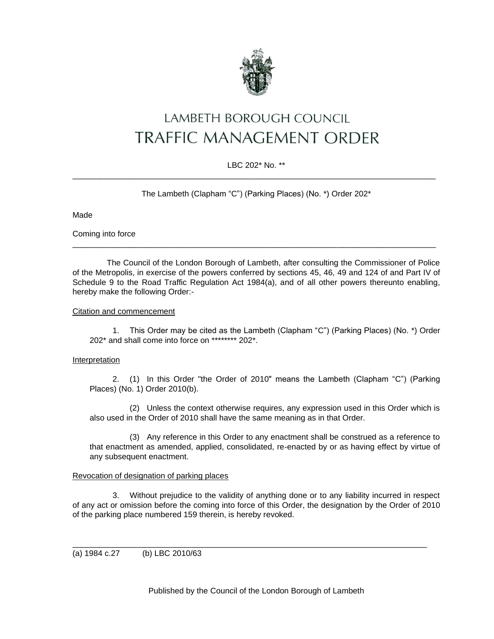

# LAMBETH BOROUGH COUNCIL **TRAFFIC MANAGEMENT ORDER**

# LBC 202\* No. \*\* \_\_\_\_\_\_\_\_\_\_\_\_\_\_\_\_\_\_\_\_\_\_\_\_\_\_\_\_\_\_\_\_\_\_\_\_\_\_\_\_\_\_\_\_\_\_\_\_\_\_\_\_\_\_\_\_\_\_\_\_\_\_\_\_\_\_\_\_\_\_\_\_\_\_\_\_\_\_\_\_\_

The Lambeth (Clapham "C") (Parking Places) (No. \*) Order 202\*

Made

Coming into force

The Council of the London Borough of Lambeth, after consulting the Commissioner of Police of the Metropolis, in exercise of the powers conferred by sections 45, 46, 49 and 124 of and Part IV of Schedule 9 to the Road Traffic Regulation Act 1984(a), and of all other powers thereunto enabling, hereby make the following Order:-

\_\_\_\_\_\_\_\_\_\_\_\_\_\_\_\_\_\_\_\_\_\_\_\_\_\_\_\_\_\_\_\_\_\_\_\_\_\_\_\_\_\_\_\_\_\_\_\_\_\_\_\_\_\_\_\_\_\_\_\_\_\_\_\_\_\_\_\_\_\_\_\_\_\_\_\_\_\_\_\_\_

# Citation and commencement

1. This Order may be cited as the Lambeth (Clapham "C") (Parking Places) (No. \*) Order 202\* and shall come into force on \*\*\*\*\*\*\*\* 202\*.

## **Interpretation**

2. (1) In this Order "the Order of 2010" means the Lambeth (Clapham "C") (Parking Places) (No. 1) Order 2010(b).

(2) Unless the context otherwise requires, any expression used in this Order which is also used in the Order of 2010 shall have the same meaning as in that Order.

(3) Any reference in this Order to any enactment shall be construed as a reference to that enactment as amended, applied, consolidated, re-enacted by or as having effect by virtue of any subsequent enactment.

# Revocation of designation of parking places

3. Without prejudice to the validity of anything done or to any liability incurred in respect of any act or omission before the coming into force of this Order, the designation by the Order of 2010 of the parking place numbered 159 therein, is hereby revoked.

\_\_\_\_\_\_\_\_\_\_\_\_\_\_\_\_\_\_\_\_\_\_\_\_\_\_\_\_\_\_\_\_\_\_\_\_\_\_\_\_\_\_\_\_\_\_\_\_\_\_\_\_\_\_\_\_\_\_\_\_\_\_\_\_\_\_\_\_\_\_\_\_\_\_\_\_\_\_\_

(a) 1984 c.27 (b) LBC 2010/63

Published by the Council of the London Borough of Lambeth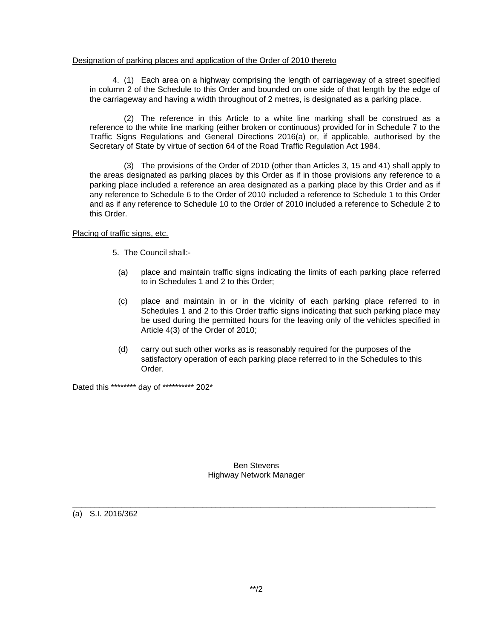#### Designation of parking places and application of the Order of 2010 thereto

4. (1) Each area on a highway comprising the length of carriageway of a street specified in column 2 of the Schedule to this Order and bounded on one side of that length by the edge of the carriageway and having a width throughout of 2 metres, is designated as a parking place.

(2) The reference in this Article to a white line marking shall be construed as a reference to the white line marking (either broken or continuous) provided for in Schedule 7 to the Traffic Signs Regulations and General Directions 2016(a) or, if applicable, authorised by the Secretary of State by virtue of section 64 of the Road Traffic Regulation Act 1984.

(3) The provisions of the Order of 2010 (other than Articles 3, 15 and 41) shall apply to the areas designated as parking places by this Order as if in those provisions any reference to a parking place included a reference an area designated as a parking place by this Order and as if any reference to Schedule 6 to the Order of 2010 included a reference to Schedule 1 to this Order and as if any reference to Schedule 10 to the Order of 2010 included a reference to Schedule 2 to this Order.

## Placing of traffic signs, etc.

- 5. The Council shall:-
	- (a) place and maintain traffic signs indicating the limits of each parking place referred to in Schedules 1 and 2 to this Order;
	- (c) place and maintain in or in the vicinity of each parking place referred to in Schedules 1 and 2 to this Order traffic signs indicating that such parking place may be used during the permitted hours for the leaving only of the vehicles specified in Article 4(3) of the Order of 2010;
- (d) carry out such other works as is reasonably required for the purposes of the satisfactory operation of each parking place referred to in the Schedules to this Order.

Dated this \*\*\*\*\*\*\*\* day of \*\*\*\*\*\*\*\*\*\* 202\*

Ben Stevens Highway Network Manager

\_\_\_\_\_\_\_\_\_\_\_\_\_\_\_\_\_\_\_\_\_\_\_\_\_\_\_\_\_\_\_\_\_\_\_\_\_\_\_\_\_\_\_\_\_\_\_\_\_\_\_\_\_\_\_\_\_\_\_\_\_\_\_\_\_\_\_\_\_\_\_\_\_\_\_\_\_\_\_\_\_

(a) S.I. 2016/362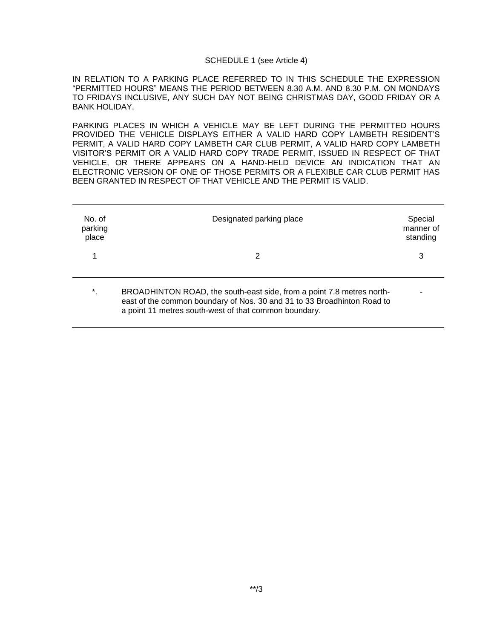#### SCHEDULE 1 (see Article 4)

IN RELATION TO A PARKING PLACE REFERRED TO IN THIS SCHEDULE THE EXPRESSION "PERMITTED HOURS" MEANS THE PERIOD BETWEEN 8.30 A.M. AND 8.30 P.M. ON MONDAYS TO FRIDAYS INCLUSIVE, ANY SUCH DAY NOT BEING CHRISTMAS DAY, GOOD FRIDAY OR A BANK HOLIDAY.

PARKING PLACES IN WHICH A VEHICLE MAY BE LEFT DURING THE PERMITTED HOURS PROVIDED THE VEHICLE DISPLAYS EITHER A VALID HARD COPY LAMBETH RESIDENT'S PERMIT, A VALID HARD COPY LAMBETH CAR CLUB PERMIT, A VALID HARD COPY LAMBETH VISITOR'S PERMIT OR A VALID HARD COPY TRADE PERMIT, ISSUED IN RESPECT OF THAT VEHICLE, OR THERE APPEARS ON A HAND-HELD DEVICE AN INDICATION THAT AN ELECTRONIC VERSION OF ONE OF THOSE PERMITS OR A FLEXIBLE CAR CLUB PERMIT HAS BEEN GRANTED IN RESPECT OF THAT VEHICLE AND THE PERMIT IS VALID.

| No. of<br>parking<br>place | Designated parking place                                                                                                                                                                                  | Special<br>manner of<br>standing |
|----------------------------|-----------------------------------------------------------------------------------------------------------------------------------------------------------------------------------------------------------|----------------------------------|
|                            | 2                                                                                                                                                                                                         | 3                                |
| $^\star$                   | BROADHINTON ROAD, the south-east side, from a point 7.8 metres north-<br>east of the common boundary of Nos. 30 and 31 to 33 Broadhinton Road to<br>a point 11 metres south-west of that common boundary. |                                  |